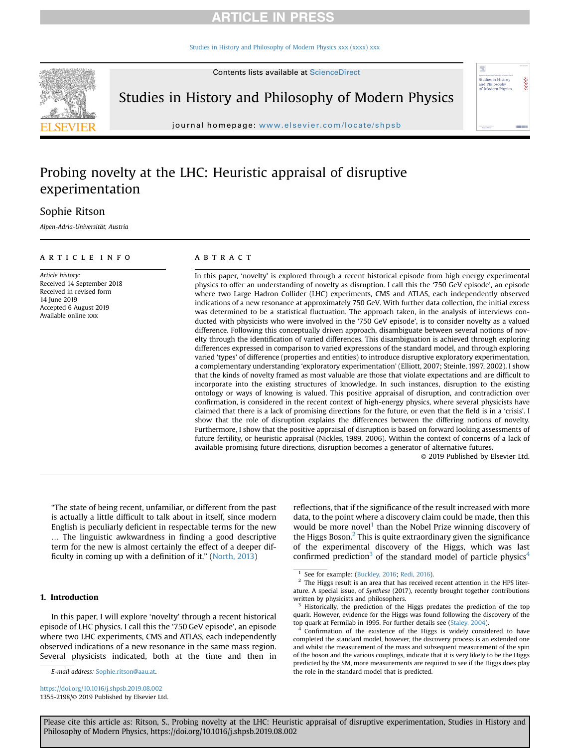[Studies in History and Philosophy of Modern Physics xxx \(xxxx\) xxx](https://doi.org/10.1016/j.shpsb.2019.08.002)



Studies in History and Philosophy of Modern Physics

journal homepage: <www.elsevier.com/locate/shpsb>

# Probing novelty at the LHC: Heuristic appraisal of disruptive experimentation

## Sophie Ritson

Alpen-Adria-Universität, Austria

#### article info

Article history: Received 14 September 2018 Received in revised form 14 June 2019 Accepted 6 August 2019 Available online xxx

### **ABTRACT**

In this paper, 'novelty' is explored through a recent historical episode from high energy experimental physics to offer an understanding of novelty as disruption. I call this the '750 GeV episode', an episode where two Large Hadron Collider (LHC) experiments, CMS and ATLAS, each independently observed indications of a new resonance at approximately 750 GeV. With further data collection, the initial excess was determined to be a statistical fluctuation. The approach taken, in the analysis of interviews conducted with physicists who were involved in the '750 GeV episode', is to consider novelty as a valued difference. Following this conceptually driven approach, disambiguate between several notions of novelty through the identification of varied differences. This disambiguation is achieved through exploring differences expressed in comparison to varied expressions of the standard model, and through exploring varied 'types' of difference (properties and entities) to introduce disruptive exploratory experimentation, a complementary understanding 'exploratory experimentation' (Elliott, 2007; Steinle, 1997, 2002). I show that the kinds of novelty framed as most valuable are those that violate expectations and are difficult to incorporate into the existing structures of knowledge. In such instances, disruption to the existing ontology or ways of knowing is valued. This positive appraisal of disruption, and contradiction over confirmation, is considered in the recent context of high-energy physics, where several physicists have claimed that there is a lack of promising directions for the future, or even that the field is in a 'crisis'. I show that the role of disruption explains the differences between the differing notions of novelty. Furthermore, I show that the positive appraisal of disruption is based on forward looking assessments of future fertility, or heuristic appraisal (Nickles, 1989, 2006). Within the context of concerns of a lack of available promising future directions, disruption becomes a generator of alternative futures.

© 2019 Published by Elsevier Ltd.

Subcistion, anthony of Southern<br>Studies in History<br>and Philosophy<br>of Modern Physics

uu

"The state of being recent, unfamiliar, or different from the past is actually a little difficult to talk about in itself, since modern English is peculiarly deficient in respectable terms for the new … The linguistic awkwardness in finding a good descriptive term for the new is almost certainly the effect of a deeper difficulty in coming up with a definition of it." ([North, 2013](#page-10-0))

### 1. Introduction

In this paper, I will explore 'novelty' through a recent historical episode of LHC physics. I call this the '750 GeV episode', an episode where two LHC experiments, CMS and ATLAS, each independently observed indications of a new resonance in the same mass region. Several physicists indicated, both at the time and then in

E-mail address: [Sophie.ritson@aau.at.](mailto:Sophie.ritson@aau.at)

<https://doi.org/10.1016/j.shpsb.2019.08.002>

1355-2198/© 2019 Published by Elsevier Ltd.

reflections, that if the significance of the result increased with more data, to the point where a discovery claim could be made, then this would be more novel<sup>1</sup> than the Nobel Prize winning discovery of the Higgs Boson. $<sup>2</sup>$  This is quite extraordinary given the significance</sup> of the experimental discovery of the Higgs, which was last confirmed prediction<sup>3</sup> of the standard model of particle physics<sup>4</sup>

See for example: [\(Buckley, 2016;](#page-9-0) [Redi, 2016\)](#page-10-0).

<sup>&</sup>lt;sup>2</sup> The Higgs result is an area that has received recent attention in the HPS literature. A special issue, of Synthese (2017), recently brought together contributions written by physicists and philosophers.

<sup>&</sup>lt;sup>3</sup> Historically, the prediction of the Higgs predates the prediction of the top quark. However, evidence for the Higgs was found following the discovery of the top quark at Fermilab in 1995. For further details see ([Staley, 2004\)](#page-10-0).

Confirmation of the existence of the Higgs is widely considered to have completed the standard model, however, the discovery process is an extended one and whilst the measurement of the mass and subsequent measurement of the spin of the boson and the various couplings, indicate that it is very likely to be the Higgs predicted by the SM, more measurements are required to see if the Higgs does play the role in the standard model that is predicted.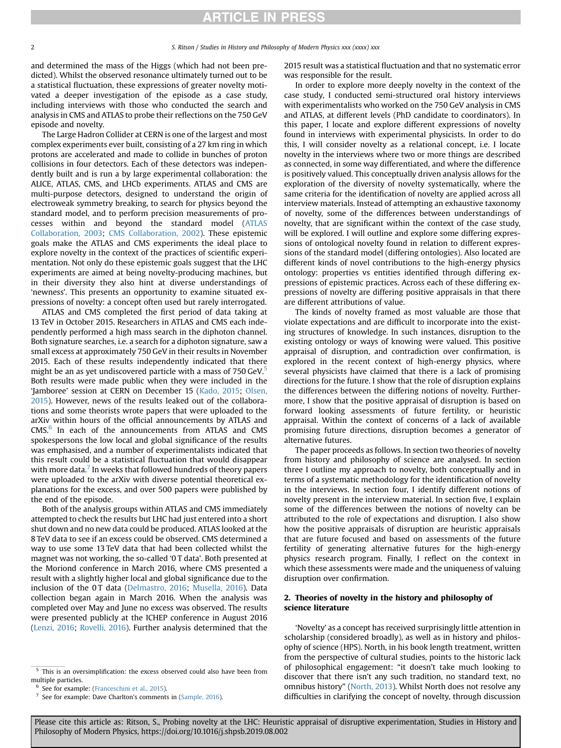and determined the mass of the Higgs (which had not been predicted). Whilst the observed resonance ultimately turned out to be a statistical fluctuation, these expressions of greater novelty motivated a deeper investigation of the episode as a case study, including interviews with those who conducted the search and analysis in CMS and ATLAS to probe their reflections on the 750 GeV episode and novelty.

The Large Hadron Collider at CERN is one of the largest and most complex experiments ever built, consisting of a 27 km ring in which protons are accelerated and made to collide in bunches of proton collisions in four detectors. Each of these detectors was independently built and is run a by large experimental collaboration: the ALICE, ATLAS, CMS, and LHCb experiments. ATLAS and CMS are multi-purpose detectors, designed to understand the origin of electroweak symmetry breaking, to search for physics beyond the standard model, and to perform precision measurements of processes within and beyond the standard model [\(ATLAS](#page-9-0) [Collaboration, 2003;](#page-9-0) [CMS Collaboration, 2002\)](#page-10-0). These epistemic goals make the ATLAS and CMS experiments the ideal place to explore novelty in the context of the practices of scientific experimentation. Not only do these epistemic goals suggest that the LHC experiments are aimed at being novelty-producing machines, but in their diversity they also hint at diverse understandings of 'newness'. This presents an opportunity to examine situated expressions of novelty: a concept often used but rarely interrogated.

ATLAS and CMS completed the first period of data taking at 13 TeV in October 2015. Researchers in ATLAS and CMS each independently performed a high mass search in the diphoton channel. Both signature searches, i.e. a search for a diphoton signature, saw a small excess at approximately 750 GeV in their results in November 2015. Each of these results independently indicated that there might be an as yet undiscovered particle with a mass of 750 GeV.<sup>5</sup> Both results were made public when they were included in the 'Jamboree' session at CERN on December 15 ([Kado, 2015](#page-10-0); [Olsen,](#page-10-0) [2015](#page-10-0)). However, news of the results leaked out of the collaborations and some theorists wrote papers that were uploaded to the arXiv within hours of the official announcements by ATLAS and  $CMS<sup>6</sup>$  In each of the announcements from ATLAS and CMS spokespersons the low local and global significance of the results was emphasised, and a number of experimentalists indicated that this result could be a statistical fluctuation that would disappear with more data. $<sup>7</sup>$  In weeks that followed hundreds of theory papers</sup> were uploaded to the arXiv with diverse potential theoretical explanations for the excess, and over 500 papers were published by the end of the episode.

Both of the analysis groups within ATLAS and CMS immediately attempted to check the results but LHC had just entered into a short shut down and no new data could be produced. ATLAS looked at the 8 TeV data to see if an excess could be observed. CMS determined a way to use some 13 TeV data that had been collected whilst the magnet was not working, the so-called '0 T data'. Both presented at the Moriond conference in March 2016, where CMS presented a result with a slightly higher local and global significance due to the inclusion of the 0T data [\(Delmastro, 2016](#page-10-0); [Musella, 2016\)](#page-10-0). Data collection began again in March 2016. When the analysis was completed over May and June no excess was observed. The results were presented publicly at the ICHEP conference in August 2016 ([Lenzi, 2016;](#page-10-0) [Rovelli, 2016\)](#page-10-0). Further analysis determined that the 2015 result was a statistical fluctuation and that no systematic error was responsible for the result.

In order to explore more deeply novelty in the context of the case study, I conducted semi-structured oral history interviews with experimentalists who worked on the 750 GeV analysis in CMS and ATLAS, at different levels (PhD candidate to coordinators). In this paper, I locate and explore different expressions of novelty found in interviews with experimental physicists. In order to do this, I will consider novelty as a relational concept, i.e. I locate novelty in the interviews where two or more things are described as connected, in some way differentiated, and where the difference is positively valued. This conceptually driven analysis allows for the exploration of the diversity of novelty systematically, where the same criteria for the identification of novelty are applied across all interview materials. Instead of attempting an exhaustive taxonomy of novelty, some of the differences between understandings of novelty, that are significant within the context of the case study, will be explored. I will outline and explore some differing expressions of ontological novelty found in relation to different expressions of the standard model (differing ontologies). Also located are different kinds of novel contributions to the high-energy physics ontology: properties vs entities identified through differing expressions of epistemic practices. Across each of these differing expressions of novelty are differing positive appraisals in that there are different attributions of value.

The kinds of novelty framed as most valuable are those that violate expectations and are difficult to incorporate into the existing structures of knowledge. In such instances, disruption to the existing ontology or ways of knowing were valued. This positive appraisal of disruption, and contradiction over confirmation, is explored in the recent context of high-energy physics, where several physicists have claimed that there is a lack of promising directions for the future. I show that the role of disruption explains the differences between the differing notions of novelty. Furthermore, I show that the positive appraisal of disruption is based on forward looking assessments of future fertility, or heuristic appraisal. Within the context of concerns of a lack of available promising future directions, disruption becomes a generator of alternative futures.

The paper proceeds as follows. In section two theories of novelty from history and philosophy of science are analysed. In section three I outline my approach to novelty, both conceptually and in terms of a systematic methodology for the identification of novelty in the interviews. In section four, I identify different notions of novelty present in the interview material. In section five, I explain some of the differences between the notions of novelty can be attributed to the role of expectations and disruption. I also show how the positive appraisals of disruption are heuristic appraisals that are future focused and based on assessments of the future fertility of generating alternative futures for the high-energy physics research program. Finally, I reflect on the context in which these assessments were made and the uniqueness of valuing disruption over confirmation.

### 2. Theories of novelty in the history and philosophy of science literature

'Novelty' as a concept has received surprisingly little attention in scholarship (considered broadly), as well as in history and philosophy of science (HPS). North, in his book length treatment, written from the perspective of cultural studies, points to the historic lack of philosophical engagement: "it doesn't take much looking to discover that there isn't any such tradition, no standard text, no omnibus history" [\(North, 2013\)](#page-10-0). Whilst North does not resolve any difficulties in clarifying the concept of novelty, through discussion

<sup>&</sup>lt;sup>5</sup> This is an oversimplification: the excess observed could also have been from multiple particles.

See for example: ([Franceschini et al., 2015\)](#page-10-0).

<sup>7</sup> See for example: Dave Charlton's comments in [\(Sample, 2016](#page-10-0)).

Please cite this article as: Ritson, S., Probing novelty at the LHC: Heuristic appraisal of disruptive experimentation, Studies in History and Philosophy of Modern Physics, https://doi.org/10.1016/j.shpsb.2019.08.002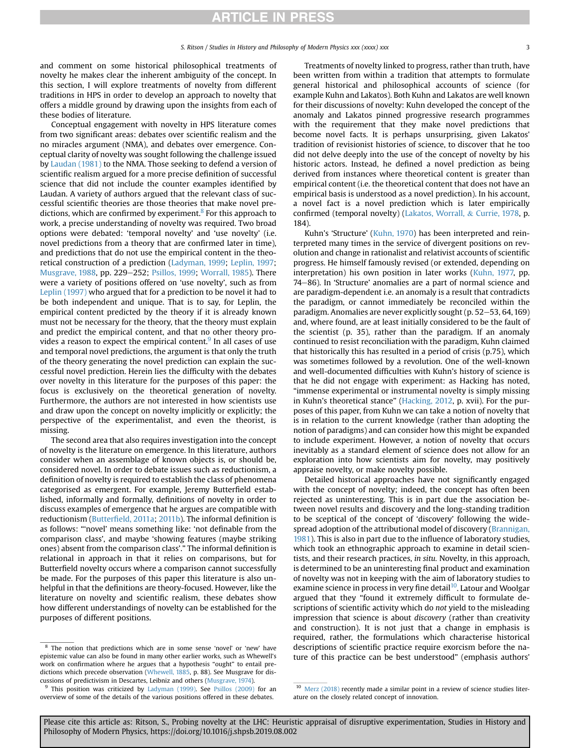and comment on some historical philosophical treatments of novelty he makes clear the inherent ambiguity of the concept. In this section, I will explore treatments of novelty from different traditions in HPS in order to develop an approach to novelty that offers a middle ground by drawing upon the insights from each of these bodies of literature.

Conceptual engagement with novelty in HPS literature comes from two significant areas: debates over scientific realism and the no miracles argument (NMA), and debates over emergence. Conceptual clarity of novelty was sought following the challenge issued by [Laudan \(1981\)](#page-10-0) to the NMA. Those seeking to defend a version of scientific realism argued for a more precise definition of successful science that did not include the counter examples identified by Laudan. A variety of authors argued that the relevant class of successful scientific theories are those theories that make novel predictions, which are confirmed by experiment.<sup>8</sup> For this approach to work, a precise understanding of novelty was required. Two broad options were debated: 'temporal novelty' and 'use novelty' (i.e. novel predictions from a theory that are confirmed later in time), and predictions that do not use the empirical content in the theoretical construction of a prediction ([Ladyman, 1999](#page-10-0); [Leplin, 1997;](#page-10-0) [Musgrave, 1988,](#page-10-0) pp. 229-252; [Psillos, 1999;](#page-10-0) [Worrall, 1985](#page-10-0)). There were a variety of positions offered on 'use novelty', such as from [Leplin \(1997\)](#page-10-0) who argued that for a prediction to be novel it had to be both independent and unique. That is to say, for Leplin, the empirical content predicted by the theory if it is already known must not be necessary for the theory, that the theory must explain and predict the empirical content, and that no other theory provides a reason to expect the empirical content. $9$  In all cases of use and temporal novel predictions, the argument is that only the truth of the theory generating the novel prediction can explain the successful novel prediction. Herein lies the difficulty with the debates over novelty in this literature for the purposes of this paper: the focus is exclusively on the theoretical generation of novelty. Furthermore, the authors are not interested in how scientists use and draw upon the concept on novelty implicitly or explicitly; the perspective of the experimentalist, and even the theorist, is missing.

The second area that also requires investigation into the concept of novelty is the literature on emergence. In this literature, authors consider when an assemblage of known objects is, or should be, considered novel. In order to debate issues such as reductionism, a definition of novelty is required to establish the class of phenomena categorised as emergent. For example, Jeremy Butterfield established, informally and formally, definitions of novelty in order to discuss examples of emergence that he argues are compatible with reductionism (Butterfi[eld, 2011a;](#page-9-0) [2011b](#page-9-0)). The informal definition is as follows: "'novel' means something like: 'not definable from the comparison class', and maybe 'showing features (maybe striking ones) absent from the comparison class'." The informal definition is relational in approach in that it relies on comparisons, but for Butterfield novelty occurs where a comparison cannot successfully be made. For the purposes of this paper this literature is also unhelpful in that the definitions are theory-focused. However, like the literature on novelty and scientific realism, these debates show how different understandings of novelty can be established for the purposes of different positions.

<sup>8</sup> The notion that predictions which are in some sense 'novel' or 'new' have epistemic value can also be found in many other earlier works, such as Whewell's work on confirmation where he argues that a hypothesis "ought" to entail predictions which precede observation [\(Whewell, 1885](#page-10-0), p. 88). See Musgrave for discussions of predictivism in Descartes, Leibniz and others [\(Musgrave, 1974\)](#page-10-0).

Treatments of novelty linked to progress, rather than truth, have been written from within a tradition that attempts to formulate general historical and philosophical accounts of science (for example Kuhn and Lakatos). Both Kuhn and Lakatos are well known for their discussions of novelty: Kuhn developed the concept of the anomaly and Lakatos pinned progressive research programmes with the requirement that they make novel predictions that become novel facts. It is perhaps unsurprising, given Lakatos' tradition of revisionist histories of science, to discover that he too did not delve deeply into the use of the concept of novelty by his historic actors. Instead, he defined a novel prediction as being derived from instances where theoretical content is greater than empirical content (i.e. the theoretical content that does not have an empirical basis is understood as a novel prediction). In his account, a novel fact is a novel prediction which is later empirically confirmed (temporal novelty) [\(Lakatos, Worrall,](#page-10-0) & [Currie, 1978](#page-10-0), p. 184).

Kuhn's 'Structure' [\(Kuhn, 1970\)](#page-10-0) has been interpreted and reinterpreted many times in the service of divergent positions on revolution and change in rationalist and relativist accounts of scientific progress. He himself famously revised (or extended, depending on interpretation) his own position in later works ([Kuhn, 1977,](#page-10-0) pp.  $74-86$ ). In 'Structure' anomalies are a part of normal science and are paradigm-dependent i.e. an anomaly is a result that contradicts the paradigm, or cannot immediately be reconciled within the paradigm. Anomalies are never explicitly sought (p. 52-53, 64, 169) and, where found, are at least initially considered to be the fault of the scientist (p. 35), rather than the paradigm. If an anomaly continued to resist reconciliation with the paradigm, Kuhn claimed that historically this has resulted in a period of crisis (p.75), which was sometimes followed by a revolution. One of the well-known and well-documented difficulties with Kuhn's history of science is that he did not engage with experiment: as Hacking has noted, "immense experimental or instrumental novelty is simply missing in Kuhn's theoretical stance" ([Hacking, 2012,](#page-10-0) p. xvii). For the purposes of this paper, from Kuhn we can take a notion of novelty that is in relation to the current knowledge (rather than adopting the notion of paradigms) and can consider how this might be expanded to include experiment. However, a notion of novelty that occurs inevitably as a standard element of science does not allow for an exploration into how scientists aim for novelty, may positively appraise novelty, or make novelty possible.

Detailed historical approaches have not significantly engaged with the concept of novelty; indeed, the concept has often been rejected as uninteresting. This is in part due the association between novel results and discovery and the long-standing tradition to be sceptical of the concept of 'discovery' following the widespread adoption of the attributional model of discovery [\(Brannigan,](#page-9-0) [1981\)](#page-9-0). This is also in part due to the influence of laboratory studies, which took an ethnographic approach to examine in detail scientists, and their research practices, in situ. Novelty, in this approach, is determined to be an uninteresting final product and examination of novelty was not in keeping with the aim of laboratory studies to examine science in process in very fine detail<sup>10</sup>. Latour and Woolgar argued that they "found it extremely difficult to formulate descriptions of scientific activity which do not yield to the misleading impression that science is about discovery (rather than creativity and construction). It is not just that a change in emphasis is required, rather, the formulations which characterise historical descriptions of scientific practice require exorcism before the nature of this practice can be best understood" (emphasis authors'

<sup>&</sup>lt;sup>9</sup> This position was criticized by [Ladyman \(1999\).](#page-10-0) See [Psillos \(2009\)](#page-10-0) for an overview of some of the details of the various positions offered in these debates.

 $10$  [Merz \(2018\)](#page-10-0) recently made a similar point in a review of science studies literature on the closely related concept of innovation.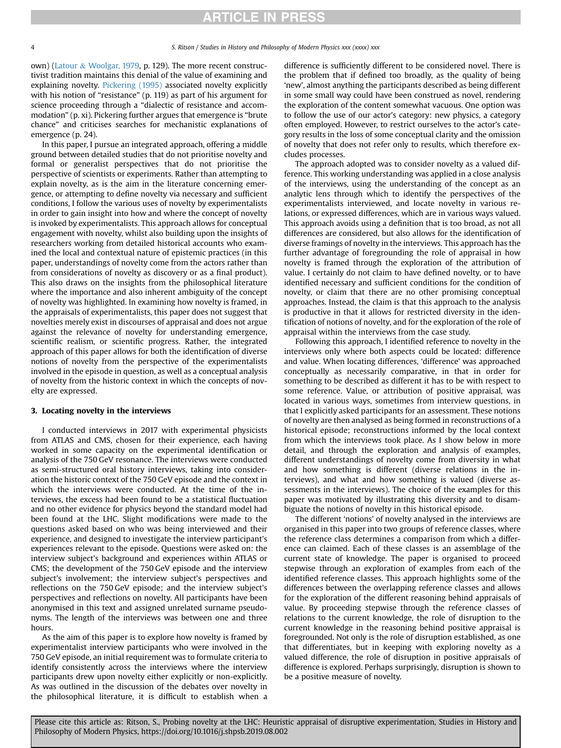own) [\(Latour](#page-10-0) & [Woolgar, 1979,](#page-10-0) p. 129). The more recent constructivist tradition maintains this denial of the value of examining and explaining novelty. [Pickering \(1995\)](#page-10-0) associated novelty explicitly with his notion of "resistance" (p. 119) as part of his argument for science proceeding through a "dialectic of resistance and accommodation" (p. xi). Pickering further argues that emergence is "brute chance" and criticises searches for mechanistic explanations of emergence (p. 24).

In this paper, I pursue an integrated approach, offering a middle ground between detailed studies that do not prioritise novelty and formal or generalist perspectives that do not prioritise the perspective of scientists or experiments. Rather than attempting to explain novelty, as is the aim in the literature concerning emergence, or attempting to define novelty via necessary and sufficient conditions, I follow the various uses of novelty by experimentalists in order to gain insight into how and where the concept of novelty is invoked by experimentalists. This approach allows for conceptual engagement with novelty, whilst also building upon the insights of researchers working from detailed historical accounts who examined the local and contextual nature of epistemic practices (in this paper, understandings of novelty come from the actors rather than from considerations of novelty as discovery or as a final product). This also draws on the insights from the philosophical literature where the importance and also inherent ambiguity of the concept of novelty was highlighted. In examining how novelty is framed, in the appraisals of experimentalists, this paper does not suggest that novelties merely exist in discourses of appraisal and does not argue against the relevance of novelty for understanding emergence, scientific realism, or scientific progress. Rather, the integrated approach of this paper allows for both the identification of diverse notions of novelty from the perspective of the experimentalists involved in the episode in question, as well as a conceptual analysis of novelty from the historic context in which the concepts of novelty are expressed.

#### 3. Locating novelty in the interviews

I conducted interviews in 2017 with experimental physicists from ATLAS and CMS, chosen for their experience, each having worked in some capacity on the experimental identification or analysis of the 750 GeV resonance. The interviews were conducted as semi-structured oral history interviews, taking into consideration the historic context of the 750 GeV episode and the context in which the interviews were conducted. At the time of the interviews, the excess had been found to be a statistical fluctuation and no other evidence for physics beyond the standard model had been found at the LHC. Slight modifications were made to the questions asked based on who was being interviewed and their experience, and designed to investigate the interview participant's experiences relevant to the episode. Questions were asked on: the interview subject's background and experiences within ATLAS or CMS; the development of the 750 GeV episode and the interview subject's involvement; the interview subject's perspectives and reflections on the 750 GeV episode; and the interview subject's perspectives and reflections on novelty. All participants have been anonymised in this text and assigned unrelated surname pseudonyms. The length of the interviews was between one and three hours.

As the aim of this paper is to explore how novelty is framed by experimentalist interview participants who were involved in the 750 GeV episode, an initial requirement was to formulate criteria to identify consistently across the interviews where the interview participants drew upon novelty either explicitly or non-explicitly. As was outlined in the discussion of the debates over novelty in the philosophical literature, it is difficult to establish when a difference is sufficiently different to be considered novel. There is the problem that if defined too broadly, as the quality of being 'new', almost anything the participants described as being different in some small way could have been construed as novel, rendering the exploration of the content somewhat vacuous. One option was to follow the use of our actor's category: new physics, a category often employed. However, to restrict ourselves to the actor's category results in the loss of some conceptual clarity and the omission of novelty that does not refer only to results, which therefore excludes processes.

The approach adopted was to consider novelty as a valued difference. This working understanding was applied in a close analysis of the interviews, using the understanding of the concept as an analytic lens through which to identify the perspectives of the experimentalists interviewed, and locate novelty in various relations, or expressed differences, which are in various ways valued. This approach avoids using a definition that is too broad, as not all differences are considered, but also allows for the identification of diverse framings of novelty in the interviews. This approach has the further advantage of foregrounding the role of appraisal in how novelty is framed through the exploration of the attribution of value. I certainly do not claim to have defined novelty, or to have identified necessary and sufficient conditions for the condition of novelty, or claim that there are no other promising conceptual approaches. Instead, the claim is that this approach to the analysis is productive in that it allows for restricted diversity in the identification of notions of novelty, and for the exploration of the role of appraisal within the interviews from the case study.

Following this approach, I identified reference to novelty in the interviews only where both aspects could be located: difference and value. When locating differences, 'difference' was approached conceptually as necessarily comparative, in that in order for something to be described as different it has to be with respect to some reference. Value, or attribution of positive appraisal, was located in various ways, sometimes from interview questions, in that I explicitly asked participants for an assessment. These notions of novelty are then analysed as being formed in reconstructions of a historical episode; reconstructions informed by the local context from which the interviews took place. As I show below in more detail, and through the exploration and analysis of examples, different understandings of novelty come from diversity in what and how something is different (diverse relations in the interviews), and what and how something is valued (diverse assessments in the interviews). The choice of the examples for this paper was motivated by illustrating this diversity and to disambiguate the notions of novelty in this historical episode.

The different 'notions' of novelty analysed in the interviews are organised in this paper into two groups of reference classes, where the reference class determines a comparison from which a difference can claimed. Each of these classes is an assemblage of the current state of knowledge. The paper is organised to proceed stepwise through an exploration of examples from each of the identified reference classes. This approach highlights some of the differences between the overlapping reference classes and allows for the exploration of the different reasoning behind appraisals of value. By proceeding stepwise through the reference classes of relations to the current knowledge, the role of disruption to the current knowledge in the reasoning behind positive appraisal is foregrounded. Not only is the role of disruption established, as one that differentiates, but in keeping with exploring novelty as a valued difference, the role of disruption in positive appraisals of difference is explored. Perhaps surprisingly, disruption is shown to be a positive measure of novelty.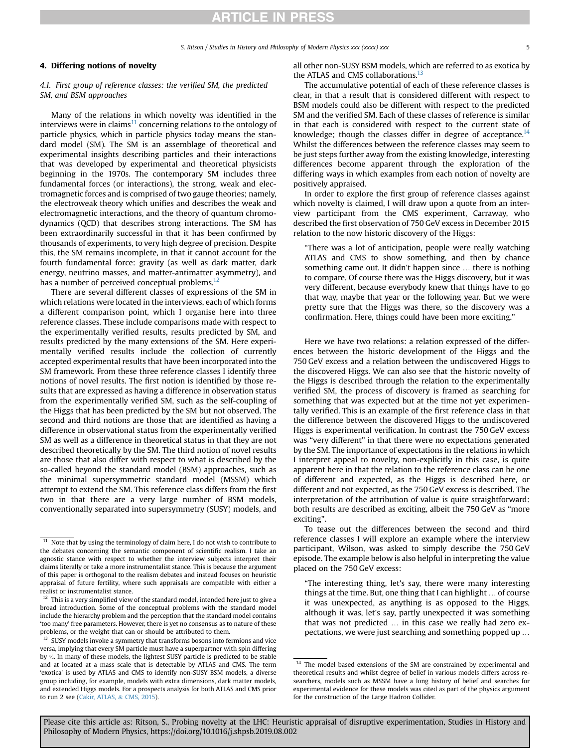### <span id="page-4-0"></span>4. Differing notions of novelty

### 4.1. First group of reference classes: the verified SM, the predicted SM, and BSM approaches

Many of the relations in which novelty was identified in the interviews were in claims<sup>11</sup> concerning relations to the ontology of particle physics, which in particle physics today means the standard model (SM). The SM is an assemblage of theoretical and experimental insights describing particles and their interactions that was developed by experimental and theoretical physicists beginning in the 1970s. The contemporary SM includes three fundamental forces (or interactions), the strong, weak and electromagnetic forces and is comprised of two gauge theories; namely, the electroweak theory which unifies and describes the weak and electromagnetic interactions, and the theory of quantum chromodynamics (QCD) that describes strong interactions. The SM has been extraordinarily successful in that it has been confirmed by thousands of experiments, to very high degree of precision. Despite this, the SM remains incomplete, in that it cannot account for the fourth fundamental force: gravity (as well as dark matter, dark energy, neutrino masses, and matter-antimatter asymmetry), and has a number of perceived conceptual problems.<sup>12</sup>

There are several different classes of expressions of the SM in which relations were located in the interviews, each of which forms a different comparison point, which I organise here into three reference classes. These include comparisons made with respect to the experimentally verified results, results predicted by SM, and results predicted by the many extensions of the SM. Here experimentally verified results include the collection of currently accepted experimental results that have been incorporated into the SM framework. From these three reference classes I identify three notions of novel results. The first notion is identified by those results that are expressed as having a difference in observation status from the experimentally verified SM, such as the self-coupling of the Higgs that has been predicted by the SM but not observed. The second and third notions are those that are identified as having a difference in observational status from the experimentally verified SM as well as a difference in theoretical status in that they are not described theoretically by the SM. The third notion of novel results are those that also differ with respect to what is described by the so-called beyond the standard model (BSM) approaches, such as the minimal supersymmetric standard model (MSSM) which attempt to extend the SM. This reference class differs from the first two in that there are a very large number of BSM models, conventionally separated into supersymmetry (SUSY) models, and

all other non-SUSY BSM models, which are referred to as exotica by the ATLAS and CMS collaborations.<sup>13</sup>

The accumulative potential of each of these reference classes is clear, in that a result that is considered different with respect to BSM models could also be different with respect to the predicted SM and the verified SM. Each of these classes of reference is similar in that each is considered with respect to the current state of knowledge; though the classes differ in degree of acceptance.<sup>14</sup> Whilst the differences between the reference classes may seem to be just steps further away from the existing knowledge, interesting differences become apparent through the exploration of the differing ways in which examples from each notion of novelty are positively appraised.

In order to explore the first group of reference classes against which novelty is claimed, I will draw upon a quote from an interview participant from the CMS experiment, Carraway, who described the first observation of 750 GeV excess in December 2015 relation to the now historic discovery of the Higgs:

"There was a lot of anticipation, people were really watching ATLAS and CMS to show something, and then by chance something came out. It didn't happen since … there is nothing to compare. Of course there was the Higgs discovery, but it was very different, because everybody knew that things have to go that way, maybe that year or the following year. But we were pretty sure that the Higgs was there, so the discovery was a confirmation. Here, things could have been more exciting."

Here we have two relations: a relation expressed of the differences between the historic development of the Higgs and the 750 GeV excess and a relation between the undiscovered Higgs to the discovered Higgs. We can also see that the historic novelty of the Higgs is described through the relation to the experimentally verified SM, the process of discovery is framed as searching for something that was expected but at the time not yet experimentally verified. This is an example of the first reference class in that the difference between the discovered Higgs to the undiscovered Higgs is experimental verification. In contrast the 750 GeV excess was "very different" in that there were no expectations generated by the SM. The importance of expectations in the relations in which I interpret appeal to novelty, non-explicitly in this case, is quite apparent here in that the relation to the reference class can be one of different and expected, as the Higgs is described here, or different and not expected, as the 750 GeV excess is described. The interpretation of the attribution of value is quite straightforward: both results are described as exciting, albeit the 750 GeV as "more exciting".

To tease out the differences between the second and third reference classes I will explore an example where the interview participant, Wilson, was asked to simply describe the 750 GeV episode. The example below is also helpful in interpreting the value placed on the 750 GeV excess:

"The interesting thing, let's say, there were many interesting things at the time. But, one thing that I can highlight … of course it was unexpected, as anything is as opposed to the Higgs, although it was, let's say, partly unexpected it was something that was not predicted … in this case we really had zero expectations, we were just searching and something popped up …

 $\frac{11}{11}$  Note that by using the terminology of claim here, I do not wish to contribute to the debates concerning the semantic component of scientific realism. I take an agnostic stance with respect to whether the interview subjects interpret their claims literally or take a more instrumentalist stance. This is because the argument of this paper is orthogonal to the realism debates and instead focuses on heuristic appraisal of future fertility, where such appraisals are compatible with either a realist or instrumentalist stance.

 $12$  This is a very simplified view of the standard model, intended here just to give a broad introduction. Some of the conceptual problems with the standard model include the hierarchy problem and the perception that the standard model contains 'too many' free parameters. However, there is yet no consensus as to nature of these problems, or the weight that can or should be attributed to them.

<sup>&</sup>lt;sup>13</sup> SUSY models invoke a symmetry that transforms bosons into fermions and vice versa, implying that every SM particle must have a superpartner with spin differing by ½. In many of these models, the lightest SUSY particle is predicted to be stable and at located at a mass scale that is detectable by ATLAS and CMS. The term 'exotica' is used by ATLAS and CMS to identify non-SUSY BSM models, a diverse group including, for example, models with extra dimensions, dark matter models, and extended Higgs models. For a prospects analysis for both ATLAS and CMS prior to run 2 see [\(Cakir, ATLAS,](#page-9-0) & [CMS, 2015\)](#page-9-0).

<sup>&</sup>lt;sup>14</sup> The model based extensions of the SM are constrained by experimental and theoretical results and whilst degree of belief in various models differs across researchers, models such as MSSM have a long history of belief and searches for experimental evidence for these models was cited as part of the physics argument for the construction of the Large Hadron Collider.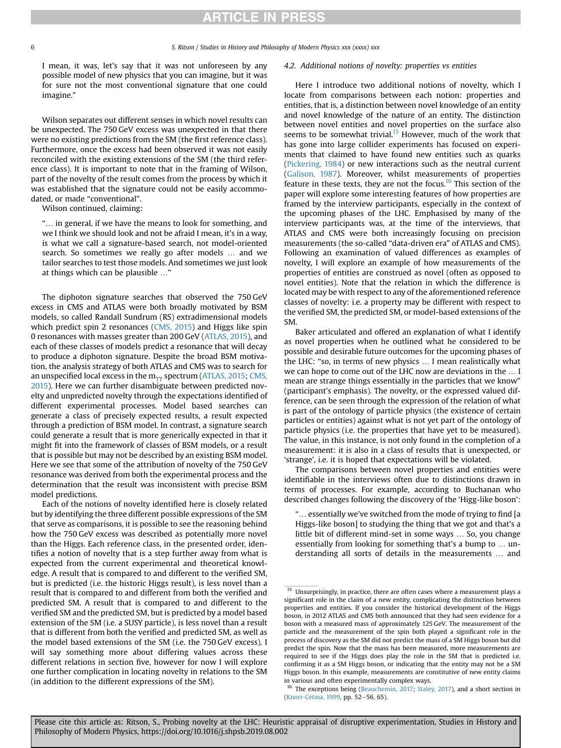<span id="page-5-0"></span>I mean, it was, let's say that it was not unforeseen by any possible model of new physics that you can imagine, but it was for sure not the most conventional signature that one could imagine."

Wilson separates out different senses in which novel results can be unexpected. The 750 GeV excess was unexpected in that there were no existing predictions from the SM (the first reference class). Furthermore, once the excess had been observed it was not easily reconciled with the existing extensions of the SM (the third reference class). It is important to note that in the framing of Wilson, part of the novelty of the result comes from the process by which it was established that the signature could not be easily accommodated, or made "conventional".

Wilson continued, claiming:

"… in general, if we have the means to look for something, and we I think we should look and not be afraid I mean, it's in a way, is what we call a signature-based search, not model-oriented search. So sometimes we really go after models … and we tailor searches to test those models. And sometimes we just look at things which can be plausible …"

The diphoton signature searches that observed the 750 GeV excess in CMS and ATLAS were both broadly motivated by BSM models, so called Randall Sundrum (RS) extradimensional models which predict spin 2 resonances ([CMS, 2015\)](#page-10-0) and Higgs like spin 0 resonances with masses greater than 200 GeV [\(ATLAS, 2015\)](#page-9-0), and each of these classes of models predict a resonance that will decay to produce a diphoton signature. Despite the broad BSM motivation, the analysis strategy of both ATLAS and CMS was to search for an unspecified local excess in the  $m_{\gamma\gamma}$  spectrum ([ATLAS, 2015](#page-9-0); [CMS,](#page-10-0) [2015](#page-10-0)). Here we can further disambiguate between predicted novelty and unpredicted novelty through the expectations identified of different experimental processes. Model based searches can generate a class of precisely expected results, a result expected through a prediction of BSM model. In contrast, a signature search could generate a result that is more generically expected in that it might fit into the framework of classes of BSM models, or a result that is possible but may not be described by an existing BSM model. Here we see that some of the attribution of novelty of the 750 GeV resonance was derived from both the experimental process and the determination that the result was inconsistent with precise BSM model predictions.

Each of the notions of novelty identified here is closely related but by identifying the three different possible expressions of the SM that serve as comparisons, it is possible to see the reasoning behind how the 750 GeV excess was described as potentially more novel than the Higgs. Each reference class, in the presented order, identifies a notion of novelty that is a step further away from what is expected from the current experimental and theoretical knowledge. A result that is compared to and different to the verified SM, but is predicted (i.e. the historic Higgs result), is less novel than a result that is compared to and different from both the verified and predicted SM. A result that is compared to and different to the verified SM and the predicted SM, but is predicted by a model based extension of the SM (i.e. a SUSY particle), is less novel than a result that is different from both the verified and predicted SM, as well as the model based extensions of the SM (i.e. the 750 GeV excess). I will say something more about differing values across these different relations in section five, however for now I will explore one further complication in locating novelty in relations to the SM (in addition to the different expressions of the SM).

#### 4.2. Additional notions of novelty: properties vs entities

Here I introduce two additional notions of novelty, which I locate from comparisons between each notion: properties and entities, that is, a distinction between novel knowledge of an entity and novel knowledge of the nature of an entity. The distinction between novel entities and novel properties on the surface also seems to be somewhat trivial. $15$  However, much of the work that has gone into large collider experiments has focused on experiments that claimed to have found new entities such as quarks ([Pickering, 1984\)](#page-10-0) or new interactions such as the neutral current ([Galison, 1987\)](#page-10-0). Moreover, whilst measurements of properties feature in these texts, they are not the focus.<sup>16</sup> This section of the paper will explore some interesting features of how properties are framed by the interview participants, especially in the context of the upcoming phases of the LHC. Emphasised by many of the interview participants was, at the time of the interviews, that ATLAS and CMS were both increasingly focusing on precision measurements (the so-called "data-driven era" of ATLAS and CMS). Following an examination of valued differences as examples of novelty, I will explore an example of how measurements of the properties of entities are construed as novel (often as opposed to novel entities). Note that the relation in which the difference is located may be with respect to any of the aforementioned reference classes of novelty: i.e. a property may be different with respect to the verified SM, the predicted SM, or model-based extensions of the SM.

Baker articulated and offered an explanation of what I identify as novel properties when he outlined what he considered to be possible and desirable future outcomes for the upcoming phases of the LHC: "so, in terms of new physics … I mean realistically what we can hope to come out of the LHC now are deviations in the … I mean are strange things essentially in the particles that we know" (participant's emphasis). The novelty, or the expressed valued difference, can be seen through the expression of the relation of what is part of the ontology of particle physics (the existence of certain particles or entities) against what is not yet part of the ontology of particle physics (i.e. the properties that have yet to be measured). The value, in this instance, is not only found in the completion of a measurement: it is also in a class of results that is unexpected, or 'strange', i.e. it is hoped that expectations will be violated.

The comparisons between novel properties and entities were identifiable in the interviews often due to distinctions drawn in terms of processes. For example, according to Buchanan who described changes following the discovery of the 'Higg-like boson':

"… essentially we've switched from the mode of trying to find [a Higgs-like boson] to studying the thing that we got and that's a little bit of different mind-set in some ways … So, you change essentially from looking for something that's a bump to … understanding all sorts of details in the measurements … and

 $15$  Unsurprisingly, in practice, there are often cases where a measurement plays a significant role in the claim of a new entity, complicating the distinction between properties and entities. If you consider the historical development of the Higgs boson, in 2012 ATLAS and CMS both announced that they had seen evidence for a boson with a measured mass of approximately 125 GeV. The measurement of the particle and the measurement of the spin both played a significant role in the process of discovery as the SM did not predict the mass of a SM Higgs boson but did predict the spin. Now that the mass has been measured, more measurements are required to see if the Higgs does play the role in the SM that is predicted i.e. confirming it as a SM Higgs boson, or indicating that the entity may not be a SM Higgs boson. In this example, measurements are constitutive of new entity claims in various and often experimentally complex ways.

<sup>&</sup>lt;sup>16</sup> The exceptions being [\(Beauchemin, 2017;](#page-9-0) [Staley, 2017](#page-10-0)), and a short section in [\(Knorr-Cetina, 1999](#page-10-0), pp. 52-56, 65).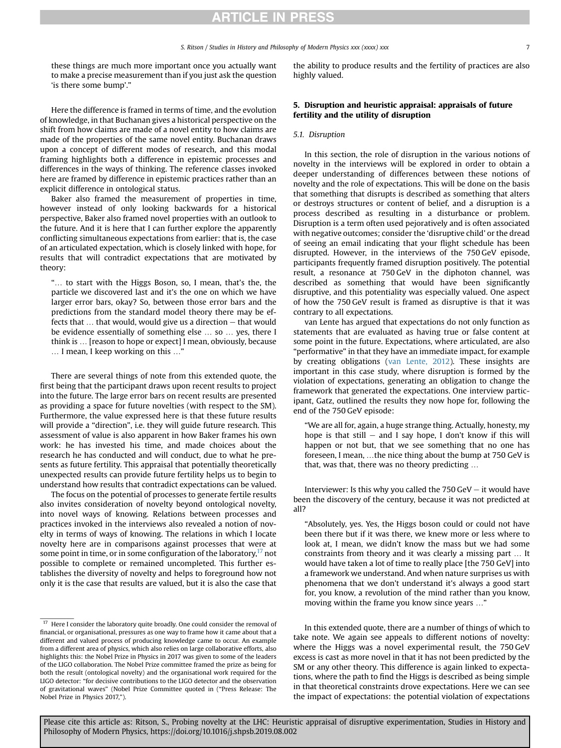these things are much more important once you actually want to make a precise measurement than if you just ask the question 'is there some bump'."

Here the difference is framed in terms of time, and the evolution of knowledge, in that Buchanan gives a historical perspective on the shift from how claims are made of a novel entity to how claims are made of the properties of the same novel entity. Buchanan draws upon a concept of different modes of research, and this modal framing highlights both a difference in epistemic processes and differences in the ways of thinking. The reference classes invoked here are framed by difference in epistemic practices rather than an explicit difference in ontological status.

Baker also framed the measurement of properties in time, however instead of only looking backwards for a historical perspective, Baker also framed novel properties with an outlook to the future. And it is here that I can further explore the apparently conflicting simultaneous expectations from earlier: that is, the case of an articulated expectation, which is closely linked with hope, for results that will contradict expectations that are motivated by theory:

"… to start with the Higgs Boson, so, I mean, that's the, the particle we discovered last and it's the one on which we have larger error bars, okay? So, between those error bars and the predictions from the standard model theory there may be effects that  $\dots$  that would, would give us a direction  $-$  that would be evidence essentially of something else … so … yes, there I think is … [reason to hope or expect] I mean, obviously, because … I mean, I keep working on this …"

There are several things of note from this extended quote, the first being that the participant draws upon recent results to project into the future. The large error bars on recent results are presented as providing a space for future novelties (with respect to the SM). Furthermore, the value expressed here is that these future results will provide a "direction", i.e. they will guide future research. This assessment of value is also apparent in how Baker frames his own work: he has invested his time, and made choices about the research he has conducted and will conduct, due to what he presents as future fertility. This appraisal that potentially theoretically unexpected results can provide future fertility helps us to begin to understand how results that contradict expectations can be valued.

The focus on the potential of processes to generate fertile results also invites consideration of novelty beyond ontological novelty, into novel ways of knowing. Relations between processes and practices invoked in the interviews also revealed a notion of novelty in terms of ways of knowing. The relations in which I locate novelty here are in comparisons against processes that were at some point in time, or in some configuration of the laboratory, $17$  not possible to complete or remained uncompleted. This further establishes the diversity of novelty and helps to foreground how not only it is the case that results are valued, but it is also the case that

the ability to produce results and the fertility of practices are also highly valued.

### 5. Disruption and heuristic appraisal: appraisals of future fertility and the utility of disruption

#### 5.1. Disruption

In this section, the role of disruption in the various notions of novelty in the interviews will be explored in order to obtain a deeper understanding of differences between these notions of novelty and the role of expectations. This will be done on the basis that something that disrupts is described as something that alters or destroys structures or content of belief, and a disruption is a process described as resulting in a disturbance or problem. Disruption is a term often used pejoratively and is often associated with negative outcomes; consider the 'disruptive child' or the dread of seeing an email indicating that your flight schedule has been disrupted. However, in the interviews of the 750 GeV episode, participants frequently framed disruption positively. The potential result, a resonance at 750 GeV in the diphoton channel, was described as something that would have been significantly disruptive, and this potentiality was especially valued. One aspect of how the 750 GeV result is framed as disruptive is that it was contrary to all expectations.

van Lente has argued that expectations do not only function as statements that are evaluated as having true or false content at some point in the future. Expectations, where articulated, are also "performative" in that they have an immediate impact, for example by creating obligations [\(van Lente, 2012\)](#page-10-0). These insights are important in this case study, where disruption is formed by the violation of expectations, generating an obligation to change the framework that generated the expectations. One interview participant, Gatz, outlined the results they now hope for, following the end of the 750 GeV episode:

"We are all for, again, a huge strange thing. Actually, honesty, my hope is that still  $-$  and I say hope, I don't know if this will happen or not but, that we see something that no one has foreseen, I mean, …the nice thing about the bump at 750 GeV is that, was that, there was no theory predicting …

Interviewer: Is this why you called the  $750$  GeV  $-$  it would have been the discovery of the century, because it was not predicted at all?

"Absolutely, yes. Yes, the Higgs boson could or could not have been there but if it was there, we knew more or less where to look at, I mean, we didn't know the mass but we had some constraints from theory and it was clearly a missing part … It would have taken a lot of time to really place [the 750 GeV] into a framework we understand. And when nature surprises us with phenomena that we don't understand it's always a good start for, you know, a revolution of the mind rather than you know, moving within the frame you know since years …"

In this extended quote, there are a number of things of which to take note. We again see appeals to different notions of novelty: where the Higgs was a novel experimental result, the 750 GeV excess is cast as more novel in that it has not been predicted by the SM or any other theory. This difference is again linked to expectations, where the path to find the Higgs is described as being simple in that theoretical constraints drove expectations. Here we can see the impact of expectations: the potential violation of expectations

 $17$  Here I consider the laboratory quite broadly. One could consider the removal of financial, or organisational, pressures as one way to frame how it came about that a different and valued process of producing knowledge came to occur. An example from a different area of physics, which also relies on large collaborative efforts, also highlights this: the Nobel Prize in Physics in 2017 was given to some of the leaders of the LIGO collaboration. The Nobel Prize committee framed the prize as being for both the result (ontological novelty) and the organisational work required for the LIGO detector: "for decisive contributions to the LIGO detector and the observation of gravitational waves" (Nobel Prize Committee quoted in ("Press Release: The Nobel Prize in Physics 2017,").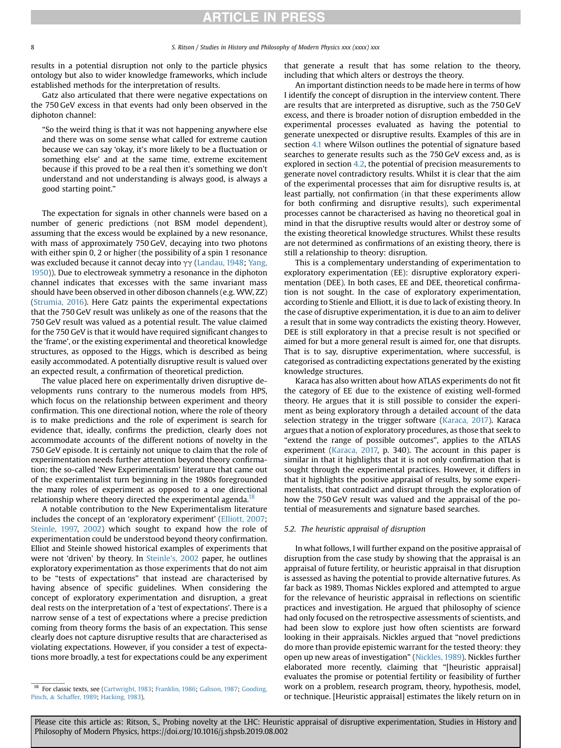results in a potential disruption not only to the particle physics ontology but also to wider knowledge frameworks, which include established methods for the interpretation of results.

Gatz also articulated that there were negative expectations on the 750 GeV excess in that events had only been observed in the diphoton channel:

"So the weird thing is that it was not happening anywhere else and there was on some sense what called for extreme caution because we can say 'okay, it's more likely to be a fluctuation or something else' and at the same time, extreme excitement because if this proved to be a real then it's something we don't understand and not understanding is always good, is always a good starting point."

The expectation for signals in other channels were based on a number of generic predictions (not BSM model dependent), assuming that the excess would be explained by a new resonance, with mass of approximately 750 GeV, decaying into two photons with either spin 0, 2 or higher (the possibility of a spin 1 resonance was excluded because it cannot decay into  $\gamma\gamma$  [\(Landau, 1948;](#page-10-0) [Yang,](#page-10-0) [1950](#page-10-0))). Due to electroweak symmetry a resonance in the diphoton channel indicates that excesses with the same invariant mass should have been observed in other diboson channels (e.g. WW, ZZ) ([Strumia, 2016](#page-10-0)). Here Gatz paints the experimental expectations that the 750 GeV result was unlikely as one of the reasons that the 750 GeV result was valued as a potential result. The value claimed for the 750 GeV is that it would have required significant changes to the 'frame', or the existing experimental and theoretical knowledge structures, as opposed to the Higgs, which is described as being easily accommodated. A potentially disruptive result is valued over an expected result, a confirmation of theoretical prediction.

The value placed here on experimentally driven disruptive developments runs contrary to the numerous models from HPS, which focus on the relationship between experiment and theory confirmation. This one directional notion, where the role of theory is to make predictions and the role of experiment is search for evidence that, ideally, confirms the prediction, clearly does not accommodate accounts of the different notions of novelty in the 750 GeV episode. It is certainly not unique to claim that the role of experimentation needs further attention beyond theory confirmation; the so-called 'New Experimentalism' literature that came out of the experimentalist turn beginning in the 1980s foregrounded the many roles of experiment as opposed to a one directional relationship where theory directed the experimental agenda.<sup>18</sup>

A notable contribution to the New Experimentalism literature includes the concept of an 'exploratory experiment' ([Elliott, 2007](#page-10-0); [Steinle, 1997,](#page-10-0) [2002\)](#page-10-0) which sought to expand how the role of experimentation could be understood beyond theory confirmation. Elliot and Steinle showed historical examples of experiments that were not 'driven' by theory. In [Steinle's, 2002](#page-10-0) paper, he outlines exploratory experimentation as those experiments that do not aim to be "tests of expectations" that instead are characterised by having absence of specific guidelines. When considering the concept of exploratory experimentation and disruption, a great deal rests on the interpretation of a 'test of expectations'. There is a narrow sense of a test of expectations where a precise prediction coming from theory forms the basis of an expectation. This sense clearly does not capture disruptive results that are characterised as violating expectations. However, if you consider a test of expectations more broadly, a test for expectations could be any experiment that generate a result that has some relation to the theory, including that which alters or destroys the theory.

An important distinction needs to be made here in terms of how I identify the concept of disruption in the interview content. There are results that are interpreted as disruptive, such as the 750 GeV excess, and there is broader notion of disruption embedded in the experimental processes evaluated as having the potential to generate unexpected or disruptive results. Examples of this are in section [4.1](#page-4-0) where Wilson outlines the potential of signature based searches to generate results such as the 750 GeV excess and, as is explored in section [4.2](#page-5-0), the potential of precision measurements to generate novel contradictory results. Whilst it is clear that the aim of the experimental processes that aim for disruptive results is, at least partially, not confirmation (in that these experiments allow for both confirming and disruptive results), such experimental processes cannot be characterised as having no theoretical goal in mind in that the disruptive results would alter or destroy some of the existing theoretical knowledge structures. Whilst these results are not determined as confirmations of an existing theory, there is still a relationship to theory: disruption.

This is a complementary understanding of experimentation to exploratory experimentation (EE): disruptive exploratory experimentation (DEE). In both cases, EE and DEE, theoretical confirmation is not sought. In the case of exploratory experimentation, according to Stienle and Elliott, it is due to lack of existing theory. In the case of disruptive experimentation, it is due to an aim to deliver a result that in some way contradicts the existing theory. However, DEE is still exploratory in that a precise result is not specified or aimed for but a more general result is aimed for, one that disrupts. That is to say, disruptive experimentation, where successful, is categorised as contradicting expectations generated by the existing knowledge structures.

Karaca has also written about how ATLAS experiments do not fit the category of EE due to the existence of existing well-formed theory. He argues that it is still possible to consider the experiment as being exploratory through a detailed account of the data selection strategy in the trigger software ([Karaca, 2017\)](#page-10-0). Karaca argues that a notion of exploratory procedures, as those that seek to "extend the range of possible outcomes", applies to the ATLAS experiment [\(Karaca, 2017,](#page-10-0) p. 340). The account in this paper is similar in that it highlights that it is not only confirmation that is sought through the experimental practices. However, it differs in that it highlights the positive appraisal of results, by some experimentalists, that contradict and disrupt through the exploration of how the 750 GeV result was valued and the appraisal of the potential of measurements and signature based searches.

### 5.2. The heuristic appraisal of disruption

In what follows, I will further expand on the positive appraisal of disruption from the case study by showing that the appraisal is an appraisal of future fertility, or heuristic appraisal in that disruption is assessed as having the potential to provide alternative futures. As far back as 1989, Thomas Nickles explored and attempted to argue for the relevance of heuristic appraisal in reflections on scientific practices and investigation. He argued that philosophy of science had only focused on the retrospective assessments of scientists, and had been slow to explore just how often scientists are forward looking in their appraisals. Nickles argued that "novel predictions do more than provide epistemic warrant for the tested theory: they open up new areas of investigation" [\(Nickles, 1989](#page-10-0)). Nickles further elaborated more recently, claiming that "[heuristic appraisal] evaluates the promise or potential fertility or feasibility of further work on a problem, research program, theory, hypothesis, model, or technique. [Heuristic appraisal] estimates the likely return on in

<sup>&</sup>lt;sup>18</sup> For classic texts, see [\(Cartwright, 1983;](#page-9-0) [Franklin, 1986;](#page-10-0) [Galison, 1987](#page-10-0); [Gooding,](#page-10-0) [Pinch,](#page-10-0) & [Schaffer, 1989;](#page-10-0) [Hacking, 1983\)](#page-10-0).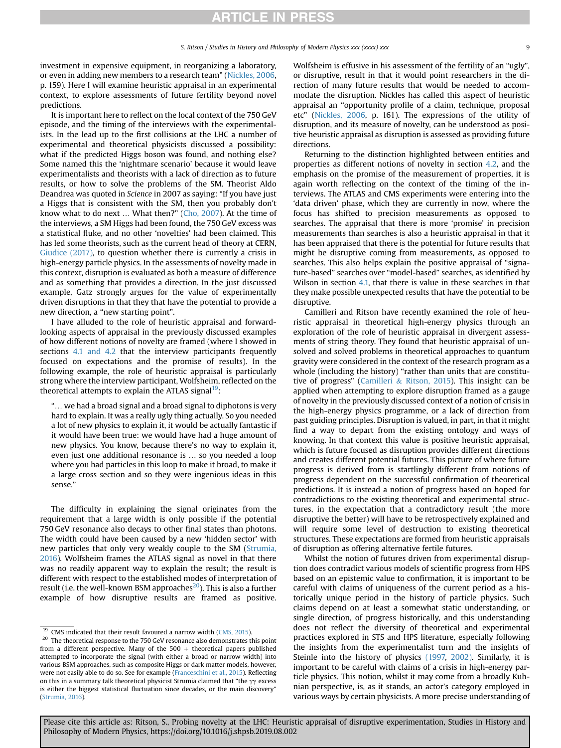investment in expensive equipment, in reorganizing a laboratory, or even in adding new members to a research team" [\(Nickles, 2006,](#page-10-0) p. 159). Here I will examine heuristic appraisal in an experimental context, to explore assessments of future fertility beyond novel predictions.

It is important here to reflect on the local context of the 750 GeV episode, and the timing of the interviews with the experimentalists. In the lead up to the first collisions at the LHC a number of experimental and theoretical physicists discussed a possibility: what if the predicted Higgs boson was found, and nothing else? Some named this the 'nightmare scenario' because it would leave experimentalists and theorists with a lack of direction as to future results, or how to solve the problems of the SM. Theorist Aldo Deandrea was quoted in Science in 2007 as saying: "If you have just a Higgs that is consistent with the SM, then you probably don't know what to do next … What then?" ([Cho, 2007](#page-9-0)). At the time of the interviews, a SM Higgs had been found, the 750 GeV excess was a statistical fluke, and no other 'novelties' had been claimed. This has led some theorists, such as the current head of theory at CERN, [Giudice \(2017\)](#page-10-0), to question whether there is currently a crisis in high-energy particle physics. In the assessments of novelty made in this context, disruption is evaluated as both a measure of difference and as something that provides a direction. In the just discussed example, Gatz strongly argues for the value of experimentally driven disruptions in that they that have the potential to provide a new direction, a "new starting point".

I have alluded to the role of heuristic appraisal and forwardlooking aspects of appraisal in the previously discussed examples of how different notions of novelty are framed (where I showed in sections [4.1 and 4.2](#page-4-0) that the interview participants frequently focused on expectations and the promise of results). In the following example, the role of heuristic appraisal is particularly strong where the interview participant, Wolfsheim, reflected on the theoretical attempts to explain the ATLAS signal $19$ :

"… we had a broad signal and a broad signal to diphotons is very hard to explain. It was a really ugly thing actually. So you needed a lot of new physics to explain it, it would be actually fantastic if it would have been true: we would have had a huge amount of new physics. You know, because there's no way to explain it, even just one additional resonance is … so you needed a loop where you had particles in this loop to make it broad, to make it a large cross section and so they were ingenious ideas in this sense."

The difficulty in explaining the signal originates from the requirement that a large width is only possible if the potential 750 GeV resonance also decays to other final states than photons. The width could have been caused by a new 'hidden sector' with new particles that only very weakly couple to the SM ([Strumia,](#page-10-0) [2016\)](#page-10-0). Wolfsheim frames the ATLAS signal as novel in that there was no readily apparent way to explain the result; the result is different with respect to the established modes of interpretation of result (i.e. the well-known BSM approaches<sup>20</sup>). This is also a further example of how disruptive results are framed as positive.

Wolfsheim is effusive in his assessment of the fertility of an "ugly", or disruptive, result in that it would point researchers in the direction of many future results that would be needed to accommodate the disruption. Nickles has called this aspect of heuristic appraisal an "opportunity profile of a claim, technique, proposal etc" [\(Nickles, 2006,](#page-10-0) p. 161). The expressions of the utility of disruption, and its measure of novelty, can be understood as positive heuristic appraisal as disruption is assessed as providing future directions.

Returning to the distinction highlighted between entities and properties as different notions of novelty in section [4.2](#page-5-0), and the emphasis on the promise of the measurement of properties, it is again worth reflecting on the context of the timing of the interviews. The ATLAS and CMS experiments were entering into the 'data driven' phase, which they are currently in now, where the focus has shifted to precision measurements as opposed to searches. The appraisal that there is more 'promise' in precision measurements than searches is also a heuristic appraisal in that it has been appraised that there is the potential for future results that might be disruptive coming from measurements, as opposed to searches. This also helps explain the positive appraisal of "signature-based" searches over "model-based" searches, as identified by Wilson in section [4.1,](#page-4-0) that there is value in these searches in that they make possible unexpected results that have the potential to be disruptive.

Camilleri and Ritson have recently examined the role of heuristic appraisal in theoretical high-energy physics through an exploration of the role of heuristic appraisal in divergent assessments of string theory. They found that heuristic appraisal of unsolved and solved problems in theoretical approaches to quantum gravity were considered in the context of the research program as a whole (including the history) "rather than units that are constitutive of progress" [\(Camilleri](#page-9-0) & [Ritson, 2015\)](#page-9-0). This insight can be applied when attempting to explore disruption framed as a gauge of novelty in the previously discussed context of a notion of crisis in the high-energy physics programme, or a lack of direction from past guiding principles. Disruption is valued, in part, in that it might find a way to depart from the existing ontology and ways of knowing. In that context this value is positive heuristic appraisal, which is future focused as disruption provides different directions and creates different potential futures. This picture of where future progress is derived from is startlingly different from notions of progress dependent on the successful confirmation of theoretical predictions. It is instead a notion of progress based on hoped for contradictions to the existing theoretical and experimental structures, in the expectation that a contradictory result (the more disruptive the better) will have to be retrospectively explained and will require some level of destruction to existing theoretical structures. These expectations are formed from heuristic appraisals of disruption as offering alternative fertile futures.

Whilst the notion of futures driven from experimental disruption does contradict various models of scientific progress from HPS based on an epistemic value to confirmation, it is important to be careful with claims of uniqueness of the current period as a historically unique period in the history of particle physics. Such claims depend on at least a somewhat static understanding, or single direction, of progress historically, and this understanding does not reflect the diversity of theoretical and experimental practices explored in STS and HPS literature, especially following the insights from the experimentalist turn and the insights of Steinle into the history of physics [\(1997,](#page-10-0) [2002\)](#page-10-0). Similarly, it is important to be careful with claims of a crisis in high-energy particle physics. This notion, whilst it may come from a broadly Kuhnian perspective, is, as it stands, an actor's category employed in various ways by certain physicists. A more precise understanding of

<sup>&</sup>lt;sup>19</sup> CMS indicated that their result favoured a narrow width [\(CMS, 2015](#page-10-0)).

<sup>&</sup>lt;sup>20</sup> The theoretical response to the 750 GeV resonance also demonstrates this point from a different perspective. Many of the  $500 +$  theoretical papers published attempted to incorporate the signal (with either a broad or narrow width) into various BSM approaches, such as composite Higgs or dark matter models, however, were not easily able to do so. See for example [\(Franceschini et al., 2015\)](#page-10-0). Reflecting on this in a summary talk theoretical physicist Strumia claimed that "the  $\gamma\gamma$  excess is either the biggest statistical fluctuation since decades, or the main discovery" ([Strumia, 2016\)](#page-10-0).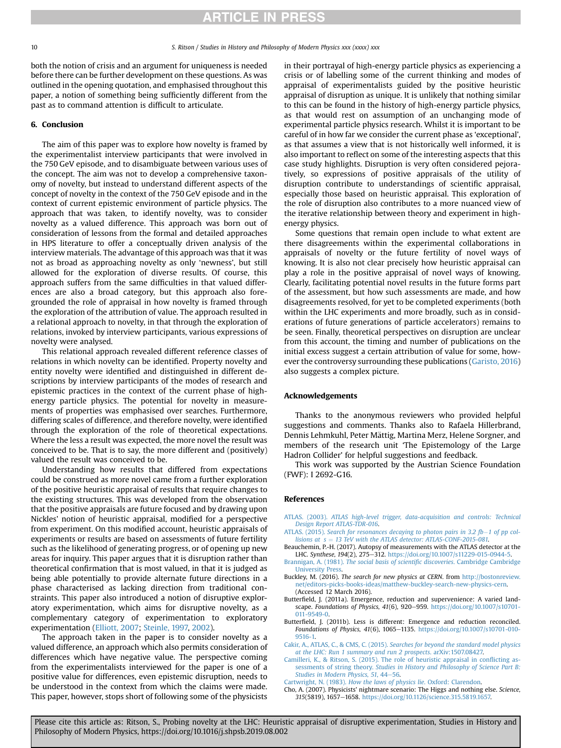<span id="page-9-0"></span>both the notion of crisis and an argument for uniqueness is needed before there can be further development on these questions. As was outlined in the opening quotation, and emphasised throughout this paper, a notion of something being sufficiently different from the past as to command attention is difficult to articulate.

#### 6. Conclusion

The aim of this paper was to explore how novelty is framed by the experimentalist interview participants that were involved in the 750 GeV episode, and to disambiguate between various uses of the concept. The aim was not to develop a comprehensive taxonomy of novelty, but instead to understand different aspects of the concept of novelty in the context of the 750 GeV episode and in the context of current epistemic environment of particle physics. The approach that was taken, to identify novelty, was to consider novelty as a valued difference. This approach was born out of consideration of lessons from the formal and detailed approaches in HPS literature to offer a conceptually driven analysis of the interview materials. The advantage of this approach was that it was not as broad as approaching novelty as only 'newness', but still allowed for the exploration of diverse results. Of course, this approach suffers from the same difficulties in that valued differences are also a broad category, but this approach also foregrounded the role of appraisal in how novelty is framed through the exploration of the attribution of value. The approach resulted in a relational approach to novelty, in that through the exploration of relations, invoked by interview participants, various expressions of novelty were analysed.

This relational approach revealed different reference classes of relations in which novelty can be identified. Property novelty and entity novelty were identified and distinguished in different descriptions by interview participants of the modes of research and epistemic practices in the context of the current phase of highenergy particle physics. The potential for novelty in measurements of properties was emphasised over searches. Furthermore, differing scales of difference, and therefore novelty, were identified through the exploration of the role of theoretical expectations. Where the less a result was expected, the more novel the result was conceived to be. That is to say, the more different and (positively) valued the result was conceived to be.

Understanding how results that differed from expectations could be construed as more novel came from a further exploration of the positive heuristic appraisal of results that require changes to the existing structures. This was developed from the observation that the positive appraisals are future focused and by drawing upon Nickles' notion of heuristic appraisal, modified for a perspective from experiment. On this modified account, heuristic appraisals of experiments or results are based on assessments of future fertility such as the likelihood of generating progress, or of opening up new areas for inquiry. This paper argues that it is disruption rather than theoretical confirmation that is most valued, in that it is judged as being able potentially to provide alternate future directions in a phase characterised as lacking direction from traditional constraints. This paper also introduced a notion of disruptive exploratory experimentation, which aims for disruptive novelty, as a complementary category of experimentation to exploratory experimentation [\(Elliott, 2007](#page-10-0); [Steinle, 1997,](#page-10-0) [2002](#page-10-0)).

The approach taken in the paper is to consider novelty as a valued difference, an approach which also permits consideration of differences which have negative value. The perspective coming from the experimentalists interviewed for the paper is one of a positive value for differences, even epistemic disruption, needs to be understood in the context from which the claims were made. This paper, however, stops short of following some of the physicists in their portrayal of high-energy particle physics as experiencing a crisis or of labelling some of the current thinking and modes of appraisal of experimentalists guided by the positive heuristic appraisal of disruption as unique. It is unlikely that nothing similar to this can be found in the history of high-energy particle physics, as that would rest on assumption of an unchanging mode of experimental particle physics research. Whilst it is important to be careful of in how far we consider the current phase as 'exceptional', as that assumes a view that is not historically well informed, it is also important to reflect on some of the interesting aspects that this case study highlights. Disruption is very often considered pejoratively, so expressions of positive appraisals of the utility of disruption contribute to understandings of scientific appraisal, especially those based on heuristic appraisal. This exploration of the role of disruption also contributes to a more nuanced view of the iterative relationship between theory and experiment in highenergy physics.

Some questions that remain open include to what extent are there disagreements within the experimental collaborations in appraisals of novelty or the future fertility of novel ways of knowing. It is also not clear precisely how heuristic appraisal can play a role in the positive appraisal of novel ways of knowing. Clearly, facilitating potential novel results in the future forms part of the assessment, but how such assessments are made, and how disagreements resolved, for yet to be completed experiments (both within the LHC experiments and more broadly, such as in considerations of future generations of particle accelerators) remains to be seen. Finally, theoretical perspectives on disruption are unclear from this account, the timing and number of publications on the initial excess suggest a certain attribution of value for some, however the controversy surrounding these publications [\(Garisto, 2016\)](#page-10-0) also suggests a complex picture.

#### Acknowledgements

Thanks to the anonymous reviewers who provided helpful suggestions and comments. Thanks also to Rafaela Hillerbrand, Dennis Lehmkuhl, Peter Mättig, Martina Merz, Helene Sorgner, and members of the research unit 'The Epistemology of the Large Hadron Collider' for helpful suggestions and feedback.

This work was supported by the Austrian Science Foundation (FWF): I 2692-G16.

#### References

- ATLAS. (2003). [ATLAS high-level trigger, data-acquisition and controls: Technical](http://refhub.elsevier.com/S1355-2198(18)30158-8/sref1) [Design Report ATLAS-TDR-016](http://refhub.elsevier.com/S1355-2198(18)30158-8/sref1).
- ATLAS. (2015). [Search for resonances decaying to photon pairs in 3.2 fb](http://refhub.elsevier.com/S1355-2198(18)30158-8/sref2)-[1 of pp col](http://refhub.elsevier.com/S1355-2198(18)30158-8/sref2)[lisions at](http://refhub.elsevier.com/S1355-2198(18)30158-8/sref2)  $s = 13$  TeV with the ATLAS detector: ATLAS-CONF-2015-081.
- Beauchemin, P.-H. (2017). Autopsy of measurements with the ATLAS detector at the LHC. Synthese, 194(2), 275-312. <https://doi.org/10.1007/s11229-015-0944-5>.
- Brannigan, A. (1981). [The social basis of scienti](http://refhub.elsevier.com/S1355-2198(18)30158-8/sref4)fic discoveries. Cambridge Cambridge [University Press](http://refhub.elsevier.com/S1355-2198(18)30158-8/sref4).
- Buckley, M. (2016). The search for new physics at CERN. from [http://bostonreview.](http://bostonreview.net/editors-picks-books-ideas/matthew-buckley-search-new-physics-cern) [net/editors-picks-books-ideas/matthew-buckley-search-new-physics-cern](http://bostonreview.net/editors-picks-books-ideas/matthew-buckley-search-new-physics-cern). (Accessed 12 March 2016).
- Butterfield, J. (2011a). Emergence, reduction and supervenience: A varied landscape. Foundations of Physics, 41(6), 920-959. [https://doi.org/10.1007/s10701-](https://doi.org/10.1007/s10701-011-9549-0) [011-9549-0.](https://doi.org/10.1007/s10701-011-9549-0)
- Butterfield, J. (2011b). Less is different: Emergence and reduction reconciled. Foundations of Physics, 41(6), 1065-1135. [https://doi.org/10.1007/s10701-010-](https://doi.org/10.1007/s10701-010-9516-1) [9516-1.](https://doi.org/10.1007/s10701-010-9516-1)
- Cakir, A., ATLAS, C., & CMS, C. (2015). [Searches for beyond the standard model physics](http://refhub.elsevier.com/S1355-2198(18)30158-8/sref8) [at the LHC: Run 1 summary and run 2 prospects](http://refhub.elsevier.com/S1355-2198(18)30158-8/sref8). arXiv:1507.08427.
- [Camilleri, K., & Ritson, S. \(2015\). The role of heuristic appraisal in con](http://refhub.elsevier.com/S1355-2198(18)30158-8/sref9)flicting assessments of string theory. [Studies in History and Philosophy of Science Part B:](http://refhub.elsevier.com/S1355-2198(18)30158-8/sref9) [Studies in Modern Physics, 51](http://refhub.elsevier.com/S1355-2198(18)30158-8/sref9), 44-[56](http://refhub.elsevier.com/S1355-2198(18)30158-8/sref9).
- Cartwright, N. (1983). [How the laws of physics lie](http://refhub.elsevier.com/S1355-2198(18)30158-8/sref10). Oxford: Clarendon.
- Cho, A. (2007). Physicists' nightmare scenario: The Higgs and nothing else. Science, 315(5819), 1657-1658. [https://doi.org/10.1126/science.315.5819.1657.](https://doi.org/10.1126/science.315.5819.1657)